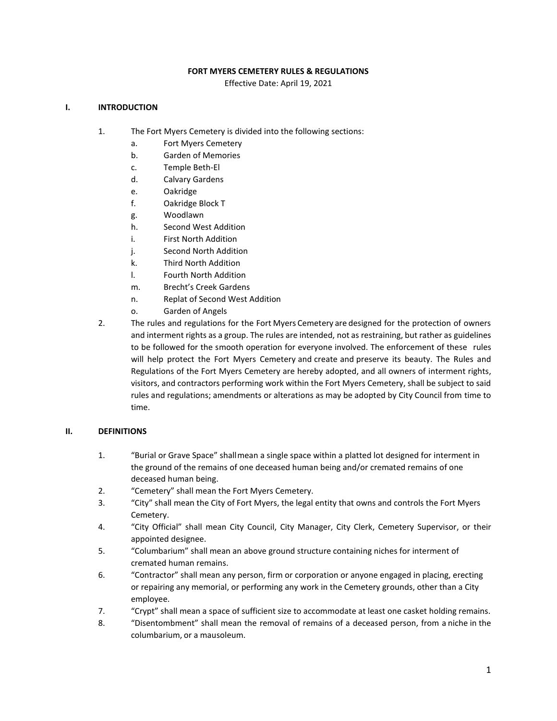### **FORT MYERS CEMETERY RULES & REGULATIONS**

Effective Date: April 19, 2021

### **I. INTRODUCTION**

- 1. The Fort Myers Cemetery is divided into the following sections:
	- a. Fort Myers Cemetery
	- b. Garden of Memories
	- c. Temple Beth-El
	- d. Calvary Gardens
	- e. Oakridge
	- f. Oakridge Block T
	- g. Woodlawn
	- h. Second West Addition
	- i. First North Addition
	- j. Second North Addition
	- k. Third North Addition
	- l. Fourth North Addition
	- m. Brecht's Creek Gardens
	- n. Replat of Second West Addition
	- o. Garden of Angels
- 2. The rules and regulations for the Fort Myers Cemetery are designed for the protection of owners and interment rights as a group. The rules are intended, not as restraining, but rather as guidelines to be followed for the smooth operation for everyone involved. The enforcement of these rules will help protect the Fort Myers Cemetery and create and preserve its beauty. The Rules and Regulations of the Fort Myers Cemetery are hereby adopted, and all owners of interment rights, visitors, and contractors performing work within the Fort Myers Cemetery, shall be subject to said rules and regulations; amendments or alterations as may be adopted by City Council from time to time.

### **II. DEFINITIONS**

- 1. "Burial or Grave Space" shallmean a single space within a platted lot designed for interment in the ground of the remains of one deceased human being and/or cremated remains of one deceased human being.
- 2. "Cemetery" shall mean the Fort Myers Cemetery.
- 3. "City" shall mean the City of Fort Myers, the legal entity that owns and controls the Fort Myers Cemetery.
- 4. "City Official" shall mean City Council, City Manager, City Clerk, Cemetery Supervisor, or their appointed designee.
- 5. "Columbarium" shall mean an above ground structure containing niches for interment of cremated human remains.
- or repairing any memorial, or performing any work in the Cemetery grounds, other than a City 6. "Contractor" shall mean any person, firm or corporation or anyone engaged in placing, erecting employee.
- 7. "Crypt" shall mean a space of sufficient size to accommodate at least one casket holding remains.
- 8. "Disentombment" shall mean the removal of remains of a deceased person, from a niche in the columbarium, or a mausoleum.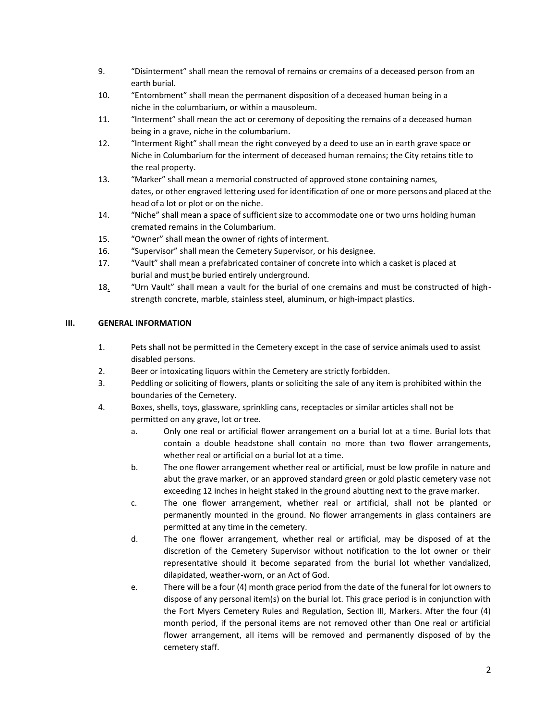- 9. "Disinterment" shall mean the removal of remains or cremains of a deceased person from an earth burial.
- 10. "Entombment" shall mean the permanent disposition of a deceased human being in a niche in the columbarium, or within a mausoleum.
- 11. "Interment" shall mean the act or ceremony of depositing the remains of a deceased human being in a grave, niche in the columbarium.
- 12. "Interment Right" shall mean the right conveyed by a deed to use an in earth grave space or Niche in Columbarium for the interment of deceased human remains; the City retains title to the real property.
- dates, or other engraved lettering used for identification of one or more persons and placed at the 13. "Marker" shall mean a memorial constructed of approved stone containing names, head of a lot or plot or on the niche.
- 14. "Niche" shall mean a space of sufficient size to accommodate one or two urns holding human cremated remains in the Columbarium.
- 15. "Owner" shall mean the owner of rights of interment.
- 16. "Supervisor" shall mean the Cemetery Supervisor, or his designee.
- 17. "Vault" shall mean a prefabricated container of concrete into which a casket is placed at burial and must be buried entirely underground.
- 18. "Urn Vault" shall mean a vault for the burial of one cremains and must be constructed of highstrength concrete, marble, stainless steel, aluminum, or high-impact plastics.

## **III. GENERAL INFORMATION**

- 1. Pets shall not be permitted in the Cemetery except in the case of service animals used to assist disabled persons.
- 2. Beer or intoxicating liquors within the Cemetery are strictly forbidden.
- 3. Peddling or soliciting of flowers, plants or soliciting the sale of any item is prohibited within the boundaries of the Cemetery.
- 4. Boxes, shells, toys, glassware, sprinkling cans, receptacles or similar articles shall not be permitted on any grave, lot or tree.
	- a. Only one real or artificial flower arrangement on a burial lot at a time. Burial lots that contain a double headstone shall contain no more than two flower arrangements, whether real or artificial on a burial lot at a time.
	- b. The one flower arrangement whether real or artificial, must be low profile in nature and abut the grave marker, or an approved standard green or gold plastic cemetery vase not exceeding 12 inches in height staked in the ground abutting next to the grave marker.
	- c. The one flower arrangement, whether real or artificial, shall not be planted or permanently mounted in the ground. No flower arrangements in glass containers are permitted at any time in the cemetery.
	- d. The one flower arrangement, whether real or artificial, may be disposed of at the discretion of the Cemetery Supervisor without notification to the lot owner or their representative should it become separated from the burial lot whether vandalized, dilapidated, weather-worn, or an Act of God.
	- e. There will be a four (4) month grace period from the date of the funeral for lot owners to dispose of any personal item(s) on the burial lot. This grace period is in conjunction with the Fort Myers Cemetery Rules and Regulation, Section III, Markers. After the four (4) month period, if the personal items are not removed other than One real or artificial flower arrangement, all items will be removed and permanently disposed of by the cemetery staff.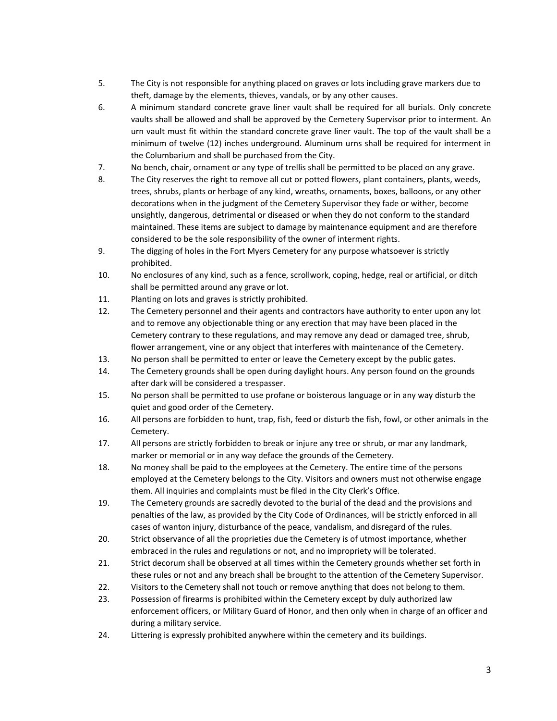- 5. The City is not responsible for anything placed on graves or lots including grave markers due to theft, damage by the elements, thieves, vandals, or by any other causes.
- 6. A minimum standard concrete grave liner vault shall be required for all burials. Only concrete vaults shall be allowed and shall be approved by the Cemetery Supervisor prior to interment. An urn vault must fit within the standard concrete grave liner vault. The top of the vault shall be a minimum of twelve (12) inches underground. Aluminum urns shall be required for interment in the Columbarium and shall be purchased from the City.
- 7. No bench, chair, ornament or any type of trellis shall be permitted to be placed on any grave.
- 8. The City reserves the right to remove all cut or potted flowers, plant containers, plants, weeds, trees, shrubs, plants or herbage of any kind, wreaths, ornaments, boxes, balloons, or any other decorations when in the judgment of the Cemetery Supervisor they fade or wither, become unsightly, dangerous, detrimental or diseased or when they do not conform to the standard maintained. These items are subject to damage by maintenance equipment and are therefore considered to be the sole responsibility of the owner of interment rights.
- 9. The digging of holes in the Fort Myers Cemetery for any purpose whatsoever is strictly prohibited.
- 10. No enclosures of any kind, such as a fence, scrollwork, coping, hedge, real or artificial, or ditch shall be permitted around any grave or lot.
- 11. Planting on lots and graves is strictly prohibited.
- 12. The Cemetery personnel and their agents and contractors have authority to enter upon any lot and to remove any objectionable thing or any erection that may have been placed in the Cemetery contrary to these regulations, and may remove any dead or damaged tree, shrub, flower arrangement, vine or any object that interferes with maintenance of the Cemetery.
- 13. No person shall be permitted to enter or leave the Cemetery except by the public gates.
- 14. The Cemetery grounds shall be open during daylight hours. Any person found on the grounds after dark will be considered a trespasser.
- 15. No person shall be permitted to use profane or boisterous language or in any way disturb the quiet and good order of the Cemetery.
- 16. All persons are forbidden to hunt, trap, fish, feed or disturb the fish, fowl, or other animals in the Cemetery.
- 17. All persons are strictly forbidden to break or injure any tree or shrub, or mar any landmark, marker or memorial or in any way deface the grounds of the Cemetery.
- 18. No money shall be paid to the employees at the Cemetery. The entire time of the persons employed at the Cemetery belongs to the City. Visitors and owners must not otherwise engage them. All inquiries and complaints must be filed in the City Clerk's Office.
- 19. The Cemetery grounds are sacredly devoted to the burial of the dead and the provisions and penalties of the law, as provided by the City Code of Ordinances, will be strictly enforced in all cases of wanton injury, disturbance of the peace, vandalism, and disregard of the rules.
- 20. Strict observance of all the proprieties due the Cemetery is of utmost importance, whether embraced in the rules and regulations or not, and no impropriety will be tolerated.
- 21. Strict decorum shall be observed at all times within the Cemetery grounds whether set forth in these rules or not and any breach shall be brought to the attention of the Cemetery Supervisor.
- 22. Visitors to the Cemetery shall not touch or remove anything that does not belong to them.
- 23. Possession of firearms is prohibited within the Cemetery except by duly authorized law enforcement officers, or Military Guard of Honor, and then only when in charge of an officer and during a military service.
- 24. Littering is expressly prohibited anywhere within the cemetery and its buildings.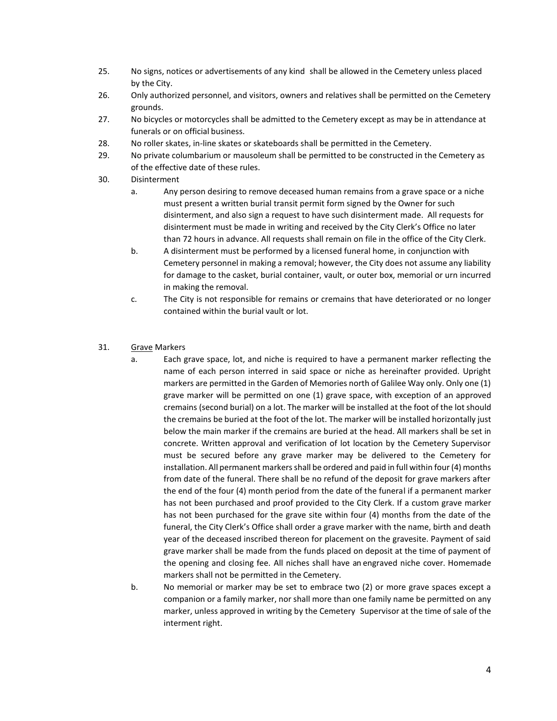- 25. No signs, notices or advertisements of any kind shall be allowed in the Cemetery unless placed by the City.
- 26. Only authorized personnel, and visitors, owners and relatives shall be permitted on the Cemetery grounds.
- 27. No bicycles or motorcycles shall be admitted to the Cemetery except as may be in attendance at funerals or on official business.
- 28. No roller skates, in-line skates or skateboards shall be permitted in the Cemetery.
- 29. No private columbarium or mausoleum shall be permitted to be constructed in the Cemetery as of the effective date of these rules.
- 30. Disinterment
	- a. Any person desiring to remove deceased human remains from a grave space or a niche must present a written burial transit permit form signed by the Owner for such disinterment, and also sign a request to have such disinterment made. All requests for disinterment must be made in writing and received by the City Clerk's Office no later than 72 hours in advance. All requests shall remain on file in the office of the City Clerk.
	- Cemetery personnel in making a removal; however, the City does not assume any liability for damage to the casket, burial container, vault, or outer box, memorial or urn incurred b. A disinterment must be performed by a licensed funeral home, in conjunction with in making the removal.
	- c. The City is not responsible for remains or cremains that have deteriorated or no longer contained within the burial vault or lot.
- 31. Grave Markers
	- a. Each grave space, lot, and niche is required to have a permanent marker reflecting the name of each person interred in said space or niche as hereinafter provided. Upright markers are permitted in the Garden of Memories north of Galilee Way only. Only one (1) grave marker will be permitted on one (1) grave space, with exception of an approved cremains (second burial) on a lot. The marker will be installed at the foot of the lot should the cremains be buried at the foot of the lot. The marker will be installed horizontally just below the main marker if the cremains are buried at the head. All markers shall be set in concrete. Written approval and verification of lot location by the Cemetery Supervisor must be secured before any grave marker may be delivered to the Cemetery for installation. All permanent markers shall be ordered and paid in full within four (4) months from date of the funeral. There shall be no refund of the deposit for grave markers after the end of the four (4) month period from the date of the funeral if a permanent marker has not been purchased and proof provided to the City Clerk. If a custom grave marker has not been purchased for the grave site within four (4) months from the date of the year of the deceased inscribed thereon for placement on the gravesite. Payment of said grave marker shall be made from the funds placed on deposit at the time of payment of the opening and closing fee. All niches shall have an engraved niche cover. Homemade funeral, the City Clerk's Office shall order a grave marker with the name, birth and death markers shall not be permitted in the Cemetery.
	- b. No memorial or marker may be set to embrace two (2) or more grave spaces except a companion or a family marker, nor shall more than one family name be permitted on any marker, unless approved in writing by the Cemetery Supervisor at the time of sale of the interment right.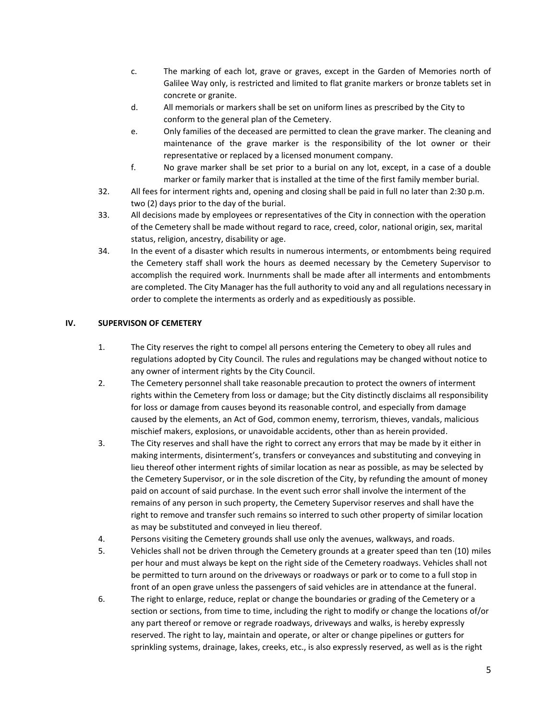- c. The marking of each lot, grave or graves, except in the Garden of Memories north of Galilee Way only, is restricted and limited to flat granite markers or bronze tablets set in concrete or granite.
- d. All memorials or markers shall be set on uniform lines as prescribed by the City to conform to the general plan of the Cemetery.
- e. Only families of the deceased are permitted to clean the grave marker. The cleaning and maintenance of the grave marker is the responsibility of the lot owner or their representative or replaced by a licensed monument company.
- f. No grave marker shall be set prior to a burial on any lot, except, in a case of a double marker or family marker that is installed at the time of the first family member burial.
- 32. All fees for interment rights and, opening and closing shall be paid in full no later than 2:30 p.m. two (2) days prior to the day of the burial.
- of the Cemetery shall be made without regard to race, creed, color, national origin, sex, marital 33. All decisions made by employees or representatives of the City in connection with the operation status, religion, ancestry, disability or age.
- 34. In the event of a disaster which results in numerous interments, or entombments being required the Cemetery staff shall work the hours as deemed necessary by the Cemetery Supervisor to accomplish the required work. Inurnments shall be made after all interments and entombments are completed. The City Manager has the full authority to void any and all regulations necessary in order to complete the interments as orderly and as expeditiously as possible.

## **IV. SUPERVISON OF CEMETERY**

- 1. The City reserves the right to compel all persons entering the Cemetery to obey all rules and regulations adopted by City Council. The rules and regulations may be changed without notice to any owner of interment rights by the City Council.
- 2. The Cemetery personnel shall take reasonable precaution to protect the owners of interment rights within the Cemetery from loss or damage; but the City distinctly disclaims all responsibility for loss or damage from causes beyond its reasonable control, and especially from damage caused by the elements, an Act of God, common enemy, terrorism, thieves, vandals, malicious mischief makers, explosions, or unavoidable accidents, other than as herein provided.
- remains of any person in such property, the Cemetery Supervisor reserves and shall have the 3. The City reserves and shall have the right to correct any errors that may be made by it either in making interments, disinterment's, transfers or conveyances and substituting and conveying in lieu thereof other interment rights of similar location as near as possible, as may be selected by the Cemetery Supervisor, or in the sole discretion of the City, by refunding the amount of money paid on account of said purchase. In the event such error shall involve the interment of the right to remove and transfer such remains so interred to such other property of similar location as may be substituted and conveyed in lieu thereof.
- 4. Persons visiting the Cemetery grounds shall use only the avenues, walkways, and roads.
- 5. Vehicles shall not be driven through the Cemetery grounds at a greater speed than ten (10) miles per hour and must always be kept on the right side of the Cemetery roadways. Vehicles shall not be permitted to turn around on the driveways or roadways or park or to come to a full stop in front of an open grave unless the passengers of said vehicles are in attendance at the funeral.
- 6. The right to enlarge, reduce, replat or change the boundaries or grading of the Cemetery or a section or sections, from time to time, including the right to modify or change the locations of/or any part thereof or remove or regrade roadways, driveways and walks, is hereby expressly reserved. The right to lay, maintain and operate, or alter or change pipelines or gutters for sprinkling systems, drainage, lakes, creeks, etc., is also expressly reserved, as well as is the right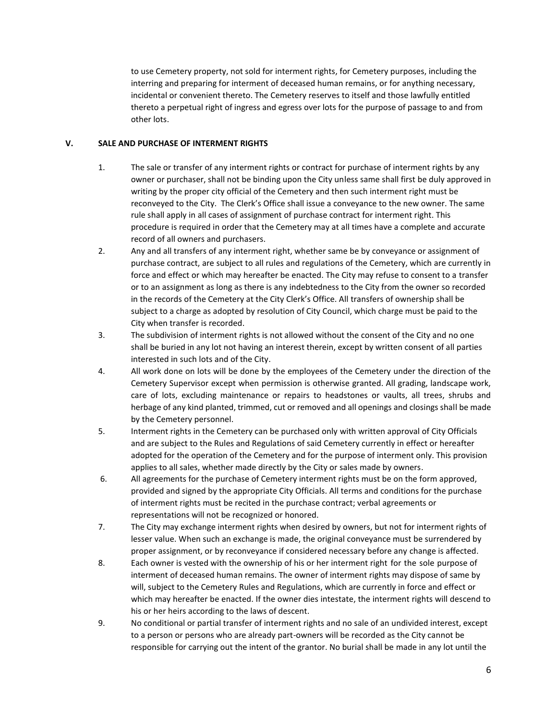to use Cemetery property, not sold for interment rights, for Cemetery purposes, including the interring and preparing for interment of deceased human remains, or for anything necessary, incidental or convenient thereto. The Cemetery reserves to itself and those lawfully entitled thereto a perpetual right of ingress and egress over lots for the purpose of passage to and from other lots.

### **V. SALE AND PURCHASE OF INTERMENT RIGHTS**

- 1. The sale or transfer of any interment rights or contract for purchase of interment rights by any owner or purchaser, shall not be binding upon the City unless same shall first be duly approved in writing by the proper city official of the Cemetery and then such interment right must be reconveyed to the City. The Clerk's Office shall issue a conveyance to the new owner. The same rule shall apply in all cases of assignment of purchase contract for interment right. This procedure is required in order that the Cemetery may at all times have a complete and accurate record of all owners and purchasers.
- purchase contract, are subject to all rules and regulations of the Cemetery, which are currently in 2. Any and all transfers of any interment right, whether same be by conveyance or assignment of force and effect or which may hereafter be enacted. The City may refuse to consent to a transfer or to an assignment as long as there is any indebtedness to the City from the owner so recorded in the records of the Cemetery at the City Clerk's Office. All transfers of ownership shall be subject to a charge as adopted by resolution of City Council, which charge must be paid to the City when transfer is recorded.
- 3. The subdivision of interment rights is not allowed without the consent of the City and no one shall be buried in any lot not having an interest therein, except by written consent of all parties interested in such lots and of the City.
- 4. All work done on lots will be done by the employees of the Cemetery under the direction of the Cemetery Supervisor except when permission is otherwise granted. All grading, landscape work, care of lots, excluding maintenance or repairs to headstones or vaults, all trees, shrubs and herbage of any kind planted, trimmed, cut or removed and all openings and closings shall be made by the Cemetery personnel.
- 5. Interment rights in the Cemetery can be purchased only with written approval of City Officials and are subject to the Rules and Regulations of said Cemetery currently in effect or hereafter adopted for the operation of the Cemetery and for the purpose of interment only. This provision applies to all sales, whether made directly by the City or sales made by owners.
- 6. All agreements for the purchase of Cemetery interment rights must be on the form approved, provided and signed by the appropriate City Officials. All terms and conditions for the purchase of interment rights must be recited in the purchase contract; verbal agreements or representations will not be recognized or honored.
- 7. The City may exchange interment rights when desired by owners, but not for interment rights of lesser value. When such an exchange is made, the original conveyance must be surrendered by proper assignment, or by reconveyance if considered necessary before any change is affected.
- which may hereafter be enacted. If the owner dies intestate, the interment rights will descend to 8. Each owner is vested with the ownership of his or her interment right for the sole purpose of interment of deceased human remains. The owner of interment rights may dispose of same by will, subject to the Cemetery Rules and Regulations, which are currently in force and effect or his or her heirs according to the laws of descent.
- 9. No conditional or partial transfer of interment rights and no sale of an undivided interest, except to a person or persons who are already part-owners will be recorded as the City cannot be responsible for carrying out the intent of the grantor. No burial shall be made in any lot until the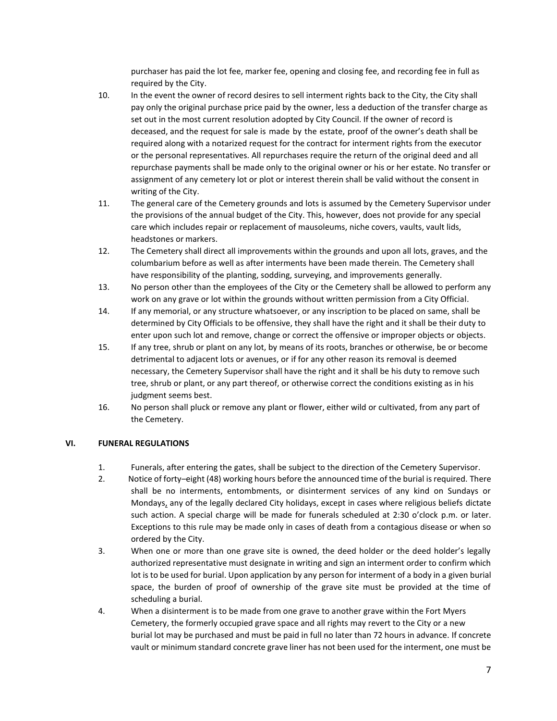purchaser has paid the lot fee, marker fee, opening and closing fee, and recording fee in full as required by the City.

- 10. In the event the owner of record desires to sell interment rights back to the City, the City shall pay only the original purchase price paid by the owner, less a deduction of the transfer charge as set out in the most current resolution adopted by City Council. If the owner of record is deceased, and the request for sale is made by the estate, proof of the owner's death shall be required along with a notarized request for the contract for interment rights from the executor or the personal representatives. All repurchases require the return of the original deed and all repurchase payments shall be made only to the original owner or his or her estate. No transfer or assignment of any cemetery lot or plot or interest therein shall be valid without the consent in writing of the City.
- 11. The general care of the Cemetery grounds and lots is assumed by the Cemetery Supervisor under the provisions of the annual budget of the City. This, however, does not provide for any special care which includes repair or replacement of mausoleums, niche covers, vaults, vault lids, headstones or markers.
- 12. The Cemetery shall direct all improvements within the grounds and upon all lots, graves, and the columbarium before as well as after interments have been made therein. The Cemetery shall have responsibility of the planting, sodding, surveying, and improvements generally.
- 13. No person other than the employees of the City or the Cemetery shall be allowed to perform any work on any grave or lot within the grounds without written permission from a City Official.
- 14. If any memorial, or any structure whatsoever, or any inscription to be placed on same, shall be determined by City Officials to be offensive, they shall have the right and it shall be their duty to enter upon such lot and remove, change or correct the offensive or improper objects or objects.
- 15. If any tree, shrub or plant on any lot, by means of its roots, branches or otherwise, be or become detrimental to adjacent lots or avenues, or if for any other reason its removal is deemed necessary, the Cemetery Supervisor shall have the right and it shall be his duty to remove such tree, shrub or plant, or any part thereof, or otherwise correct the conditions existing as in his judgment seems best.
- 16. No person shall pluck or remove any plant or flower, either wild or cultivated, from any part of the Cemetery.

# **VI. FUNERAL REGULATIONS**

- 1. Funerals, after entering the gates, shall be subject to the direction of the Cemetery Supervisor.
- shall be no interments, entombments, or disinterment services of any kind on Sundays or Mondays, any of the legally declared City holidays, except in cases where religious beliefs dictate such action. A special charge will be made for funerals scheduled at 2:30 o'clock p.m. or later. Exceptions to this rule may be made only in cases of death from a contagious disease or when so 2. Notice of forty–eight (48) working hours before the announced time of the burial is required. There ordered by the City.
- 3. When one or more than one grave site is owned, the deed holder or the deed holder's legally authorized representative must designate in writing and sign an interment order to confirm which lot is to be used for burial. Upon application by any person for interment of a body in a given burial space, the burden of proof of ownership of the grave site must be provided at the time of scheduling a burial.
- burial lot may be purchased and must be paid in full no later than 72 hours in advance. If concrete vault or minimum standard concrete grave liner has not been used for the interment, one must be 4. When a disinterment is to be made from one grave to another grave within the Fort Myers Cemetery, the formerly occupied grave space and all rights may revert to the City or a new